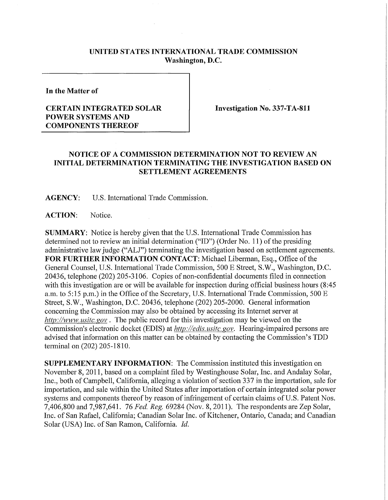## **UNITED STATES INTERNATIONAL TRADE COMMISSION Washington, D.C.**

**In the Matter of** 

## **CERTAIN INTEGRATED SOLAR POWER SYSTEMS AND COMPONENTS THEREOF**

**Investigation No. 337-TA-811** 

## **NOTICE OF A COMMISSION DETERMINATION NOT TO REVIEW AN INITIAL DETERMINATION TERMINATING THE INVESTIGATION BASED ON SETTLEMENT AGREEMENTS**

**AGENCY:** U.S. International Trade Commission.

**ACTION:** Notice.

**SUMMARY:** Notice is hereby given that the U.S. International Trade Commission has determined not to review an initial determination ("ID") (Order No. 11) of the presiding administrative law judge ("ALJ") terminating the investigation based on settlement agreements. FOR FURTHER INFORMATION CONTACT: Michael Liberman, Esq., Office of the General Counsel, U.S. International Trade Commission, 500 E Street, S.W., Washington, D.C. 20436, telephone (202) 205-3106. Copies of non-confidential documents filed in connection with this investigation are or will be available for inspection during official business hours (8:45 a.m. to 5:15 p.m.) in the Office of the Secretary, U.S. International Trade Commission,  $500 \text{ E}$ Street, S.W., Washington, D.C. 20436, telephone (202) 205-2000. General information concerning the Commission may also be obtained by accessing its Internet server at *http://www.usitc.gov.* The public record for this investigation may be viewed on the Commission's electronic docket (EDIS) at *http://edis. usitc. gov.* Hearing-impaired persons are advised that information on this matter can be obtained by contacting the Commission's TDD terminal on (202) 205-1810.

**SUPPLEMENTARY INFORMATION:** The Commission instituted this investigation on November 8, 2011, based on a complaint filed by Westinghouse Solar, Inc. and Andalay Solar, Inc., both of Campbell, California, alleging a violation of section 337 in the importation, sale for importation, and sale within the United States after importation of certain integrated solar power systems and components thereof by reason of infringement of certain claims of U.S. Patent Nos. 7,406,800 and 7,987,641. 76 *Fed, Reg.* 69284 (Nov. 8, 2011). The respondents are Zep Solar, Inc. of San Rafael, California; Canadian Solar Inc. of Kitchener, Ontario, Canada; and Canadian Solar (USA) Inc. of San Ramon, California. *Id.*